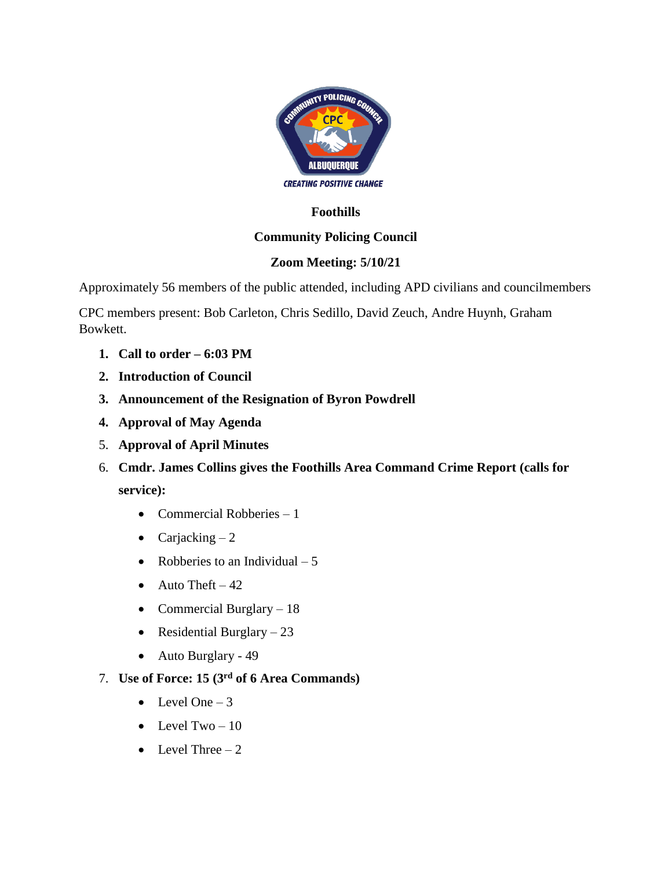

#### **Foothills**

# **Community Policing Council**

#### **Zoom Meeting: 5/10/21**

Approximately 56 members of the public attended, including APD civilians and councilmembers

CPC members present: Bob Carleton, Chris Sedillo, David Zeuch, Andre Huynh, Graham Bowkett.

- **1. Call to order – 6:03 PM**
- **2. Introduction of Council**
- **3. Announcement of the Resignation of Byron Powdrell**
- **4. Approval of May Agenda**
- 5. **Approval of April Minutes**
- 6. **Cmdr. James Collins gives the Foothills Area Command Crime Report (calls for service):**
	- Commercial Robberies 1
	- Carjacking  $-2$
	- Robberies to an Individual  $-5$
	- Auto Theft  $-42$
	- Commercial Burglary 18
	- Residential Burglary  $-23$
	- Auto Burglary 49
- 7. **Use of Force: 15 (3rd of 6 Area Commands)**
	- Level One  $-3$
	- Level Two  $-10$
	- Level Three  $-2$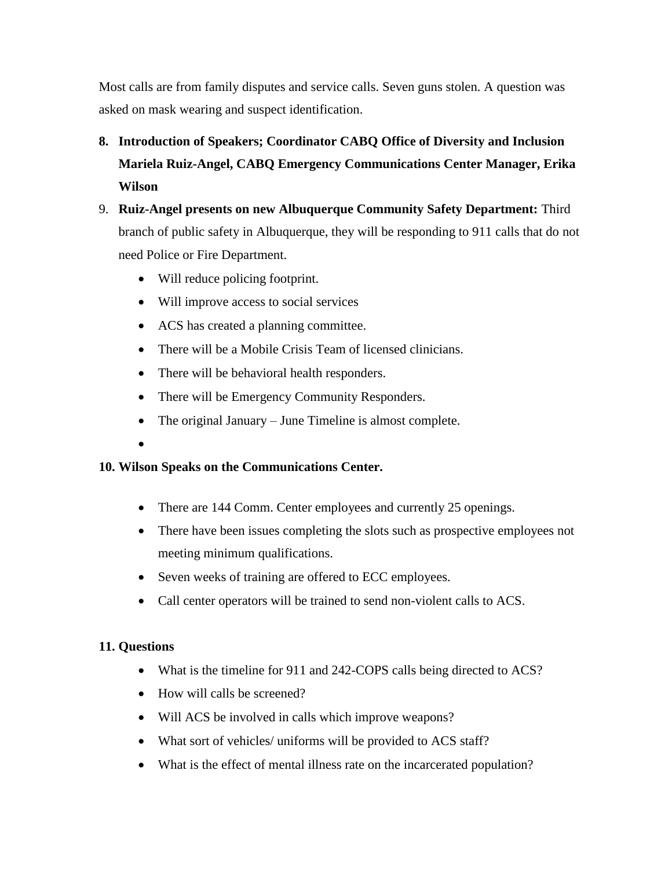Most calls are from family disputes and service calls. Seven guns stolen. A question was asked on mask wearing and suspect identification.

- **8. Introduction of Speakers; Coordinator CABQ Office of Diversity and Inclusion Mariela Ruiz-Angel, CABQ Emergency Communications Center Manager, Erika Wilson**
- 9. **Ruiz-Angel presents on new Albuquerque Community Safety Department:** Third branch of public safety in Albuquerque, they will be responding to 911 calls that do not need Police or Fire Department.
	- Will reduce policing footprint.
	- Will improve access to social services
	- ACS has created a planning committee.
	- There will be a Mobile Crisis Team of licensed clinicians.
	- There will be behavioral health responders.
	- There will be Emergency Community Responders.
	- The original January June Timeline is almost complete.
	- •

# **10. Wilson Speaks on the Communications Center.**

- There are 144 Comm. Center employees and currently 25 openings.
- There have been issues completing the slots such as prospective employees not meeting minimum qualifications.
- Seven weeks of training are offered to ECC employees.
- Call center operators will be trained to send non-violent calls to ACS.

# **11. Questions**

- What is the timeline for 911 and 242-COPS calls being directed to ACS?
- How will calls be screened?
- Will ACS be involved in calls which improve weapons?
- What sort of vehicles/ uniforms will be provided to ACS staff?
- What is the effect of mental illness rate on the incarcerated population?